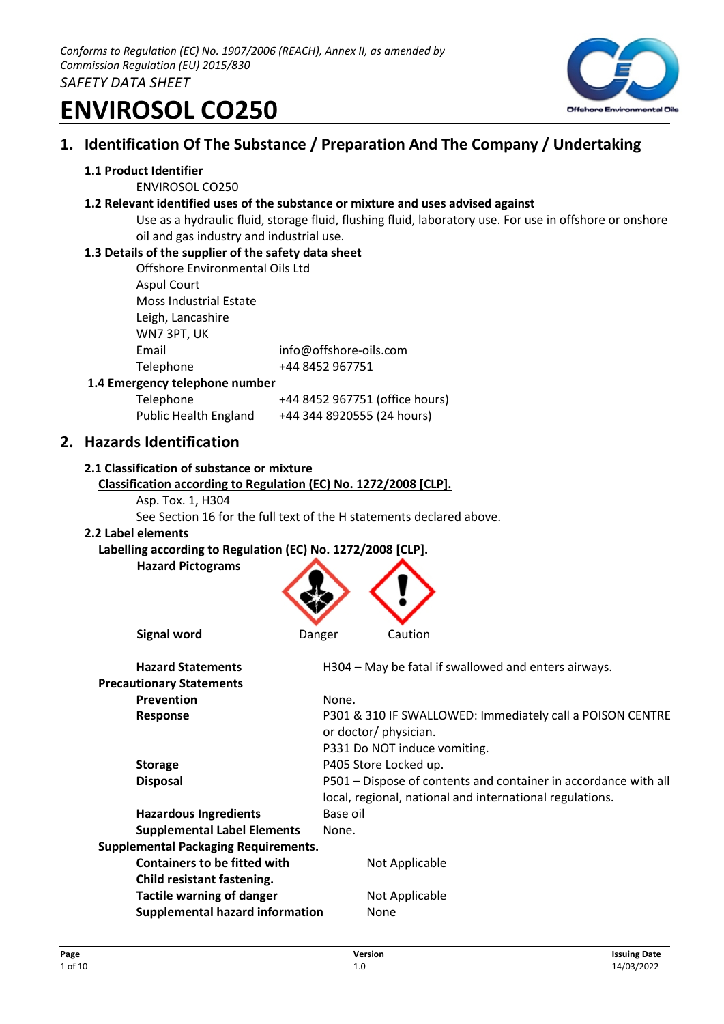

# **1. Identification Of The Substance / Preparation And The Company / Undertaking**

### **1.1 Product Identifier**

ENVIROSOL CO250

### **1.2 Relevant identified uses of the substance or mixture and uses advised against**

Use as a hydraulic fluid, storage fluid, flushing fluid, laboratory use. For use in offshore or onshore oil and gas industry and industrial use.

### **1.3 Details of the supplier of the safety data sheet**

| Offshore Environmental Oils Ltd |                        |
|---------------------------------|------------------------|
| <b>Aspul Court</b>              |                        |
| Moss Industrial Estate          |                        |
| Leigh, Lancashire               |                        |
| WN7 3PT, UK                     |                        |
| Email                           | info@offshore-oils.com |
| Telephone                       | +44 8452 967751        |
| rgency telephone number         |                        |

### **1.4 Emer**

| Telephone             | +44 8452 967751 (office hours) |
|-----------------------|--------------------------------|
| Public Health England | +44 344 8920555 (24 hours)     |

### **2. Hazards Identification**

### **2.1 Classification of substance or mixture**

```
Classification according to Regulation (EC) No. 1272/2008 [CLP].
```
Asp. Tox. 1, H304

See Section 16 for the full text of the H statements declared above.

### **2.2 Label elements**

### **Labelling according to Regulation (EC) No. 1272/2008 [CLP].**

**Hazard Pictograms**



| <b>Hazard Statements</b>                    | H304 – May be fatal if swallowed and enters airways.                               |
|---------------------------------------------|------------------------------------------------------------------------------------|
| <b>Precautionary Statements</b>             |                                                                                    |
| <b>Prevention</b>                           | None.                                                                              |
| <b>Response</b>                             | P301 & 310 IF SWALLOWED: Immediately call a POISON CENTRE<br>or doctor/ physician. |
|                                             | P331 Do NOT induce vomiting.                                                       |
| <b>Storage</b>                              | P405 Store Locked up.                                                              |
| <b>Disposal</b>                             | P501 – Dispose of contents and container in accordance with all                    |
|                                             | local, regional, national and international regulations.                           |
| <b>Hazardous Ingredients</b>                | Base oil                                                                           |
| <b>Supplemental Label Elements</b>          | None.                                                                              |
| <b>Supplemental Packaging Requirements.</b> |                                                                                    |
| <b>Containers to be fitted with</b>         | Not Applicable                                                                     |
| Child resistant fastening.                  |                                                                                    |
| <b>Tactile warning of danger</b>            | Not Applicable                                                                     |
| <b>Supplemental hazard information</b>      | None                                                                               |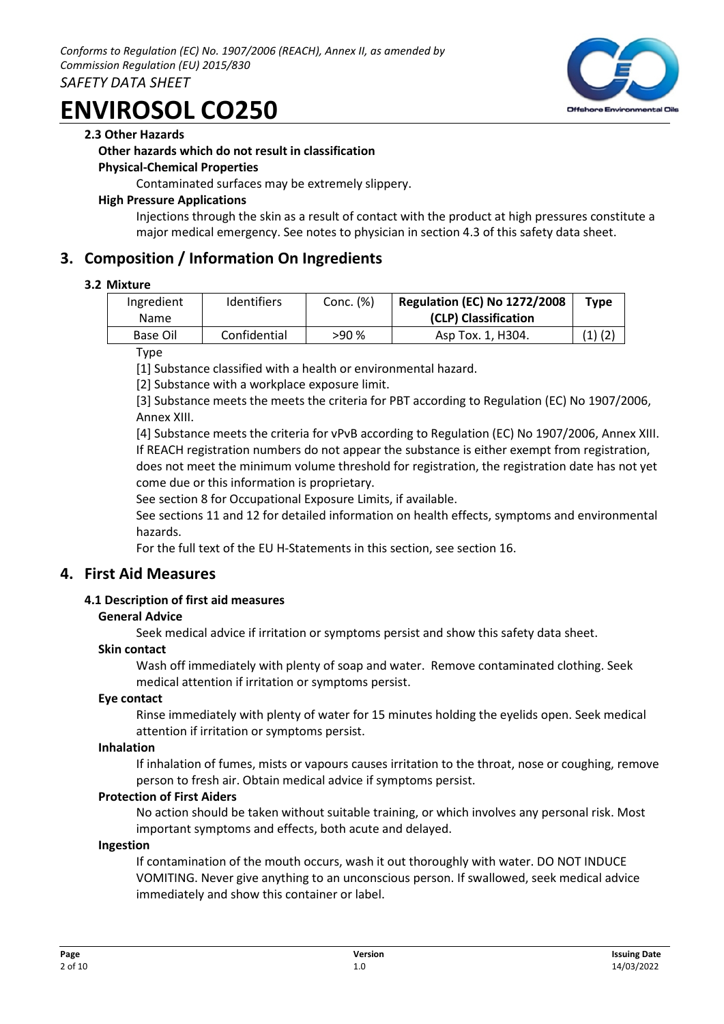### **2.3 Other Hazards**

### **Other hazards which do not result in classification**

### **Physical-Chemical Properties**

Contaminated surfaces may be extremely slippery.

### **High Pressure Applications**

Injections through the skin as a result of contact with the product at high pressures constitute a major medical emergency. See notes to physician in section 4.3 of this safety data sheet.

### **3. Composition / Information On Ingredients**

### **3.2 Mixture**

| Ingredient<br><b>Name</b> | <b>Identifiers</b> | Conc. (%) | <b>Regulation (EC) No 1272/2008</b><br>(CLP) Classification | <b>Type</b> |
|---------------------------|--------------------|-----------|-------------------------------------------------------------|-------------|
| Base Oil                  | Confidential       | >90%      | Asp Tox. 1, H304.                                           | $(1)$ $(2)$ |

Type

[1] Substance classified with a health or environmental hazard.

[2] Substance with a workplace exposure limit.

[3] Substance meets the meets the criteria for PBT according to Regulation (EC) No 1907/2006, Annex XIII.

[4] Substance meets the criteria for vPvB according to Regulation (EC) No 1907/2006, Annex XIII. If REACH registration numbers do not appear the substance is either exempt from registration, does not meet the minimum volume threshold for registration, the registration date has not yet come due or this information is proprietary.

See section 8 for Occupational Exposure Limits, if available.

See sections 11 and 12 for detailed information on health effects, symptoms and environmental hazards.

For the full text of the EU H-Statements in this section, see section 16.

### **4. First Aid Measures**

### **4.1 Description of first aid measures**

### **General Advice**

Seek medical advice if irritation or symptoms persist and show this safety data sheet.

### **Skin contact**

Wash off immediately with plenty of soap and water. Remove contaminated clothing. Seek medical attention if irritation or symptoms persist.

### **Eye contact**

Rinse immediately with plenty of water for 15 minutes holding the eyelids open. Seek medical attention if irritation or symptoms persist.

### **Inhalation**

If inhalation of fumes, mists or vapours causes irritation to the throat, nose or coughing, remove person to fresh air. Obtain medical advice if symptoms persist.

### **Protection of First Aiders**

No action should be taken without suitable training, or which involves any personal risk. Most important symptoms and effects, both acute and delayed.

### **Ingestion**

If contamination of the mouth occurs, wash it out thoroughly with water. DO NOT INDUCE VOMITING. Never give anything to an unconscious person. If swallowed, seek medical advice immediately and show this container or label.

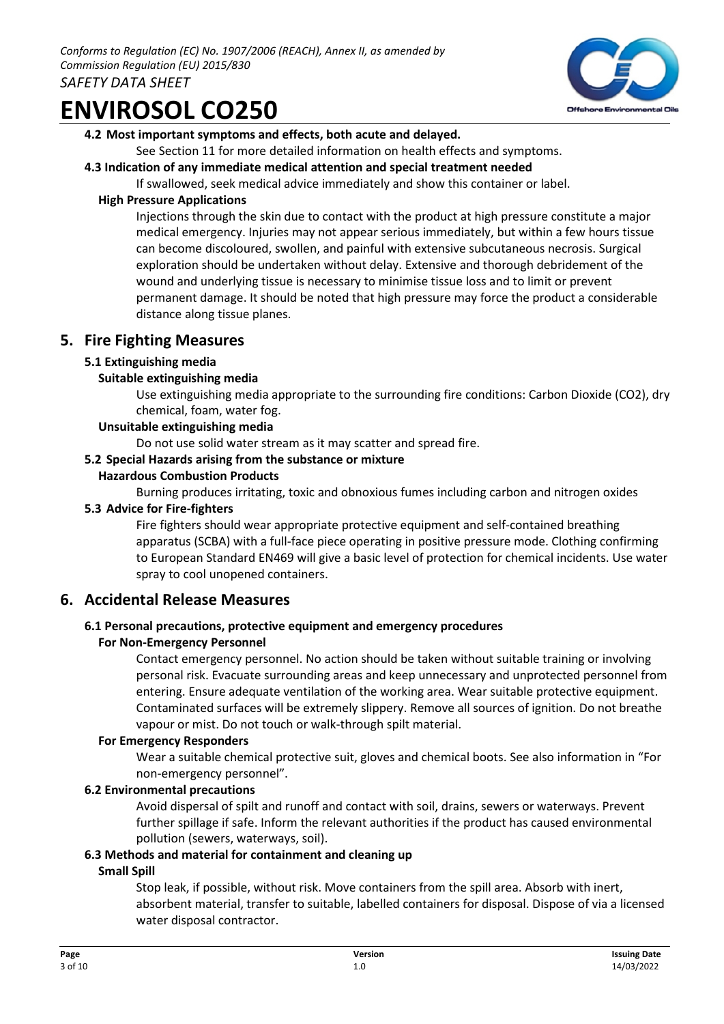

### **4.2 Most important symptoms and effects, both acute and delayed.**

See Section 11 for more detailed information on health effects and symptoms.

### **4.3 Indication of any immediate medical attention and special treatment needed**

If swallowed, seek medical advice immediately and show this container or label.

### **High Pressure Applications**

Injections through the skin due to contact with the product at high pressure constitute a major medical emergency. Injuries may not appear serious immediately, but within a few hours tissue can become discoloured, swollen, and painful with extensive subcutaneous necrosis. Surgical exploration should be undertaken without delay. Extensive and thorough debridement of the wound and underlying tissue is necessary to minimise tissue loss and to limit or prevent permanent damage. It should be noted that high pressure may force the product a considerable distance along tissue planes.

### **5. Fire Fighting Measures**

### **5.1 Extinguishing media**

### **Suitable extinguishing media**

Use extinguishing media appropriate to the surrounding fire conditions: Carbon Dioxide (CO2), dry chemical, foam, water fog.

### **Unsuitable extinguishing media**

Do not use solid water stream as it may scatter and spread fire.

### **5.2 Special Hazards arising from the substance or mixture**

### **Hazardous Combustion Products**

Burning produces irritating, toxic and obnoxious fumes including carbon and nitrogen oxides

#### **5.3 Advice for Fire-fighters**

Fire fighters should wear appropriate protective equipment and self-contained breathing apparatus (SCBA) with a full-face piece operating in positive pressure mode. Clothing confirming to European Standard EN469 will give a basic level of protection for chemical incidents. Use water spray to cool unopened containers.

### **6. Accidental Release Measures**

### **6.1 Personal precautions, protective equipment and emergency procedures**

### **For Non-Emergency Personnel**

Contact emergency personnel. No action should be taken without suitable training or involving personal risk. Evacuate surrounding areas and keep unnecessary and unprotected personnel from entering. Ensure adequate ventilation of the working area. Wear suitable protective equipment. Contaminated surfaces will be extremely slippery. Remove all sources of ignition. Do not breathe vapour or mist. Do not touch or walk-through spilt material.

### **For Emergency Responders**

Wear a suitable chemical protective suit, gloves and chemical boots. See also information in "For non-emergency personnel".

### **6.2 Environmental precautions**

Avoid dispersal of spilt and runoff and contact with soil, drains, sewers or waterways. Prevent further spillage if safe. Inform the relevant authorities if the product has caused environmental pollution (sewers, waterways, soil).

### **6.3 Methods and material for containment and cleaning up**

### **Small Spill**

Stop leak, if possible, without risk. Move containers from the spill area. Absorb with inert, absorbent material, transfer to suitable, labelled containers for disposal. Dispose of via a licensed water disposal contractor.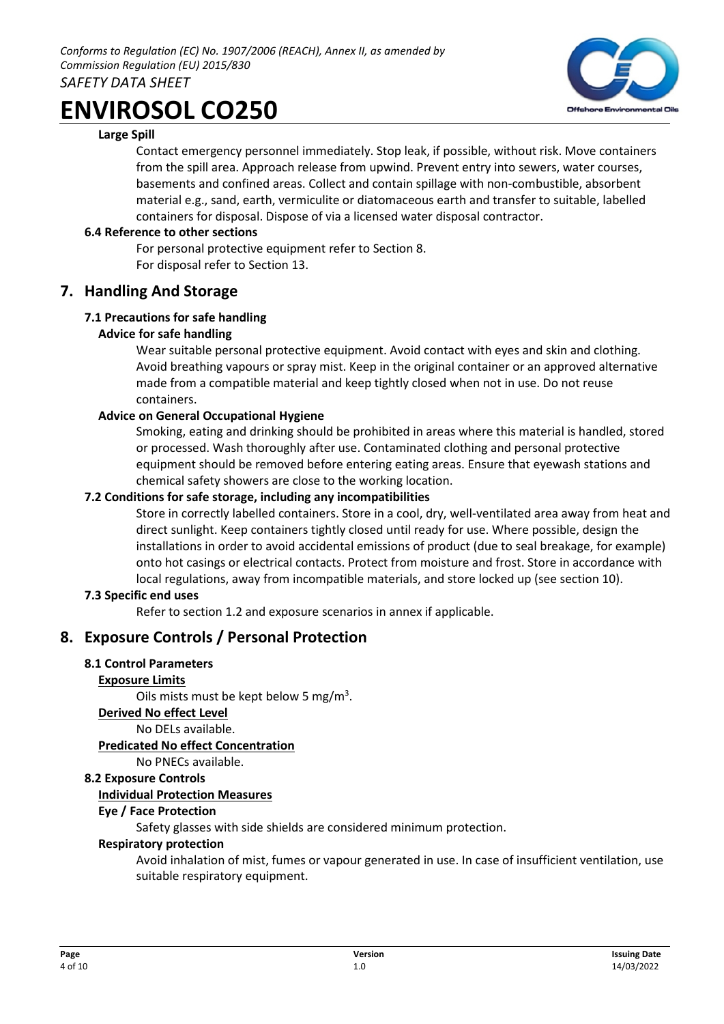

### **Large Spill**

Contact emergency personnel immediately. Stop leak, if possible, without risk. Move containers from the spill area. Approach release from upwind. Prevent entry into sewers, water courses, basements and confined areas. Collect and contain spillage with non-combustible, absorbent material e.g., sand, earth, vermiculite or diatomaceous earth and transfer to suitable, labelled containers for disposal. Dispose of via a licensed water disposal contractor.

### **6.4 Reference to other sections**

For personal protective equipment refer to Section 8. For disposal refer to Section 13.

### **7. Handling And Storage**

### **7.1 Precautions for safe handling**

### **Advice for safe handling**

Wear suitable personal protective equipment. Avoid contact with eyes and skin and clothing. Avoid breathing vapours or spray mist. Keep in the original container or an approved alternative made from a compatible material and keep tightly closed when not in use. Do not reuse containers.

### **Advice on General Occupational Hygiene**

Smoking, eating and drinking should be prohibited in areas where this material is handled, stored or processed. Wash thoroughly after use. Contaminated clothing and personal protective equipment should be removed before entering eating areas. Ensure that eyewash stations and chemical safety showers are close to the working location.

### **7.2 Conditions for safe storage, including any incompatibilities**

Store in correctly labelled containers. Store in a cool, dry, well-ventilated area away from heat and direct sunlight. Keep containers tightly closed until ready for use. Where possible, design the installations in order to avoid accidental emissions of product (due to seal breakage, for example) onto hot casings or electrical contacts. Protect from moisture and frost. Store in accordance with local regulations, away from incompatible materials, and store locked up (see section 10).

### **7.3 Specific end uses**

Refer to section 1.2 and exposure scenarios in annex if applicable.

### **8. Exposure Controls / Personal Protection**

### **8.1 Control Parameters**

### **Exposure Limits**

Oils mists must be kept below 5 mg/ $m<sup>3</sup>$ .

### **Derived No effect Level**

No DELs available.

### **Predicated No effect Concentration**

No PNECs available.

### **8.2 Exposure Controls**

### **Individual Protection Measures**

### **Eye / Face Protection**

Safety glasses with side shields are considered minimum protection.

### **Respiratory protection**

Avoid inhalation of mist, fumes or vapour generated in use. In case of insufficient ventilation, use suitable respiratory equipment.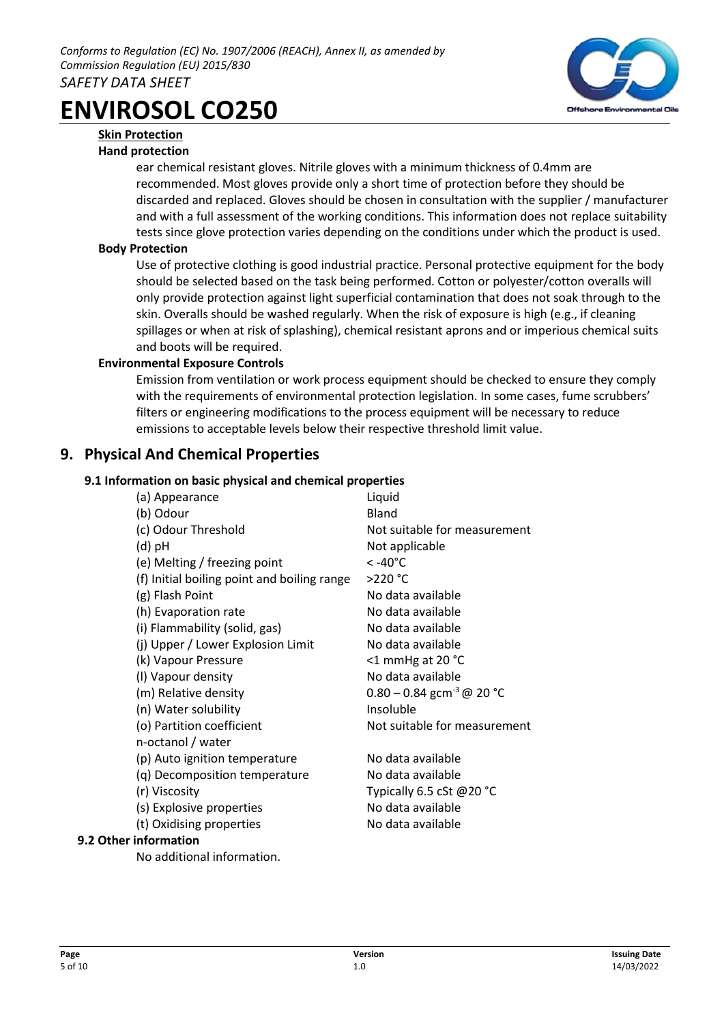

# **Skin Protection**

### **Hand protection**

ear chemical resistant gloves. Nitrile gloves with a minimum thickness of 0.4mm are recommended. Most gloves provide only a short time of protection before they should be discarded and replaced. Gloves should be chosen in consultation with the supplier / manufacturer and with a full assessment of the working conditions. This information does not replace suitability tests since glove protection varies depending on the conditions under which the product is used.

### **Body Protection**

Use of protective clothing is good industrial practice. Personal protective equipment for the body should be selected based on the task being performed. Cotton or polyester/cotton overalls will only provide protection against light superficial contamination that does not soak through to the skin. Overalls should be washed regularly. When the risk of exposure is high (e.g., if cleaning spillages or when at risk of splashing), chemical resistant aprons and or imperious chemical suits and boots will be required.

### **Environmental Exposure Controls**

Emission from ventilation or work process equipment should be checked to ensure they comply with the requirements of environmental protection legislation. In some cases, fume scrubbers' filters or engineering modifications to the process equipment will be necessary to reduce emissions to acceptable levels below their respective threshold limit value.

# **9. Physical And Chemical Properties**

### **9.1 Information on basic physical and chemical properties**

| (a) Appearance                              | Liquid                                  |
|---------------------------------------------|-----------------------------------------|
| (b) Odour                                   | Bland                                   |
| (c) Odour Threshold                         | Not suitable for measurement            |
| (d) pH                                      | Not applicable                          |
| (e) Melting / freezing point                | < -40°C                                 |
| (f) Initial boiling point and boiling range | >220 °C                                 |
| (g) Flash Point                             | No data available                       |
| (h) Evaporation rate                        | No data available                       |
| (i) Flammability (solid, gas)               | No data available                       |
| (j) Upper / Lower Explosion Limit           | No data available                       |
| (k) Vapour Pressure                         | <1 mmHg at 20 °C                        |
| (I) Vapour density                          | No data available                       |
| (m) Relative density                        | $0.80 - 0.84$ gcm <sup>-3</sup> @ 20 °C |
| (n) Water solubility                        | Insoluble                               |
| (o) Partition coefficient                   | Not suitable for measurement            |
| n-octanol / water                           |                                         |
| (p) Auto ignition temperature               | No data available                       |
| (q) Decomposition temperature               | No data available                       |
| (r) Viscosity                               | Typically 6.5 cSt @20 °C                |
| (s) Explosive properties                    | No data available                       |
| (t) Oxidising properties                    | No data available                       |
| information                                 |                                         |

No additional information.

**9.2 Other**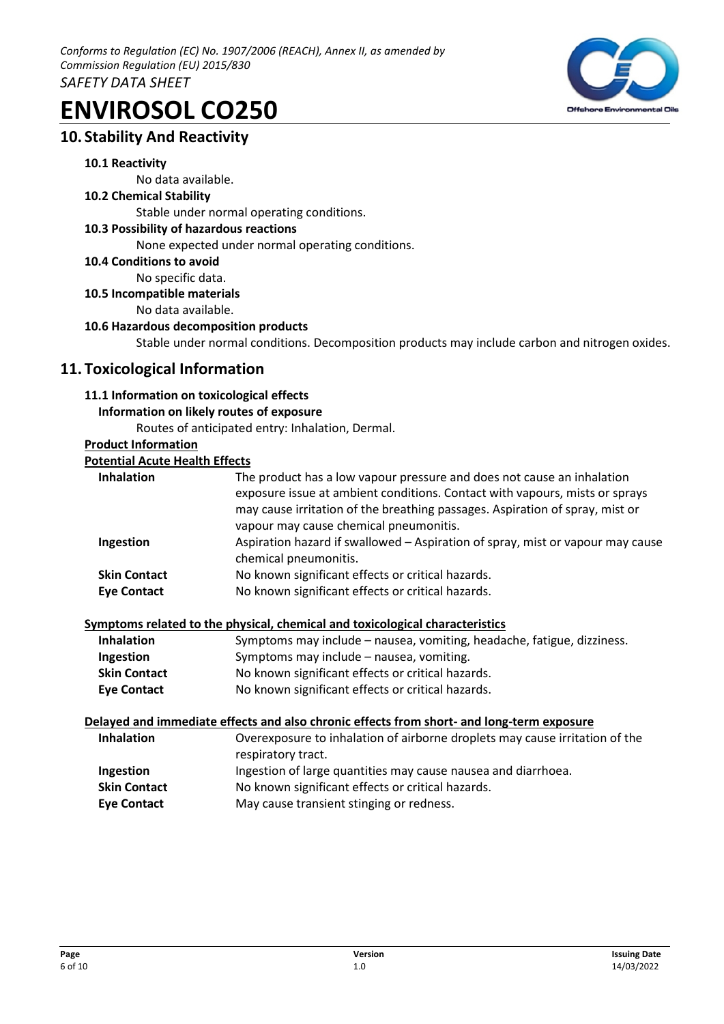

# **10. Stability And Reactivity**

### **10.1 Reactivity**

No data available.

### **10.2 Chemical Stability**

Stable under normal operating conditions.

### **10.3 Possibility of hazardous reactions**

None expected under normal operating conditions.

**10.4 Conditions to avoid** 

No specific data.

**10.5 Incompatible materials** 

No data available.

### **10.6 Hazardous decomposition products**

Stable under normal conditions. Decomposition products may include carbon and nitrogen oxides.

# **11. Toxicological Information**

### **11.1 Information on toxicological effects**

### **Information on likely routes of exposure**

Routes of anticipated entry: Inhalation, Dermal.

### **Product Information**

### **Potential Acute Health Effects**

| <b>Inhalation</b>                         | The product has a low vapour pressure and does not cause an inhalation<br>exposure issue at ambient conditions. Contact with vapours, mists or sprays<br>may cause irritation of the breathing passages. Aspiration of spray, mist or<br>vapour may cause chemical pneumonitis. |
|-------------------------------------------|---------------------------------------------------------------------------------------------------------------------------------------------------------------------------------------------------------------------------------------------------------------------------------|
| Ingestion                                 | Aspiration hazard if swallowed – Aspiration of spray, mist or vapour may cause<br>chemical pneumonitis.                                                                                                                                                                         |
| <b>Skin Contact</b><br><b>Eye Contact</b> | No known significant effects or critical hazards.<br>No known significant effects or critical hazards.                                                                                                                                                                          |

### **Symptoms related to the physical, chemical and toxicological characteristics**

| <b>Inhalation</b>   | Symptoms may include – nausea, vomiting, headache, fatigue, dizziness. |
|---------------------|------------------------------------------------------------------------|
| Ingestion           | Symptoms may include – nausea, vomiting.                               |
| <b>Skin Contact</b> | No known significant effects or critical hazards.                      |
| <b>Eye Contact</b>  | No known significant effects or critical hazards.                      |

### **Delayed and immediate effects and also chronic effects from short- and long-term exposure**

| <b>Inhalation</b>   | Overexposure to inhalation of airborne droplets may cause irritation of the |
|---------------------|-----------------------------------------------------------------------------|
|                     | respiratory tract.                                                          |
| Ingestion           | Ingestion of large quantities may cause nausea and diarrhoea.               |
| <b>Skin Contact</b> | No known significant effects or critical hazards.                           |
| <b>Eye Contact</b>  | May cause transient stinging or redness.                                    |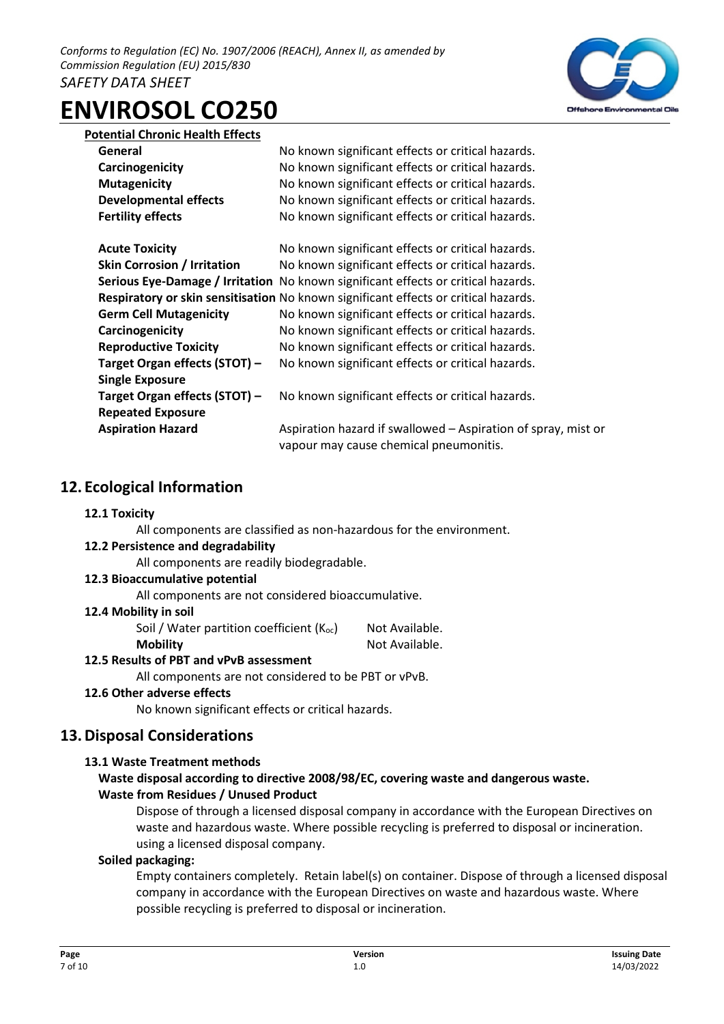

### **Potential Chronic Health Effects**

| General                            | No known significant effects or critical hazards.                                   |
|------------------------------------|-------------------------------------------------------------------------------------|
| Carcinogenicity                    | No known significant effects or critical hazards.                                   |
| <b>Mutagenicity</b>                | No known significant effects or critical hazards.                                   |
| <b>Developmental effects</b>       | No known significant effects or critical hazards.                                   |
| <b>Fertility effects</b>           | No known significant effects or critical hazards.                                   |
|                                    |                                                                                     |
| <b>Acute Toxicity</b>              | No known significant effects or critical hazards.                                   |
| <b>Skin Corrosion / Irritation</b> | No known significant effects or critical hazards.                                   |
|                                    | Serious Eye-Damage / Irritation No known significant effects or critical hazards.   |
|                                    | Respiratory or skin sensitisation No known significant effects or critical hazards. |
| <b>Germ Cell Mutagenicity</b>      | No known significant effects or critical hazards.                                   |
| Carcinogenicity                    | No known significant effects or critical hazards.                                   |
| <b>Reproductive Toxicity</b>       | No known significant effects or critical hazards.                                   |
| Target Organ effects (STOT) -      | No known significant effects or critical hazards.                                   |
| <b>Single Exposure</b>             |                                                                                     |
| Target Organ effects (STOT) -      | No known significant effects or critical hazards.                                   |
| <b>Repeated Exposure</b>           |                                                                                     |
| <b>Aspiration Hazard</b>           | Aspiration hazard if swallowed - Aspiration of spray, mist or                       |
|                                    | vapour may cause chemical pneumonitis.                                              |

# **12. Ecological Information**

### **12.1 Toxicity**

All components are classified as non-hazardous for the environment.

### **12.2 Persistence and degradability**

All components are readily biodegradable.

### **12.3 Bioaccumulative potential**

All components are not considered bioaccumulative.

### **12.4 Mobility in soil**

Soil / Water partition coefficient  $(K_{oc})$  Not Available.

**Mobility** Not Available.

### **12.5 Results of PBT and vPvB assessment**

All components are not considered to be PBT or vPvB.

### **12.6 Other adverse effects**

No known significant effects or critical hazards.

# **13.Disposal Considerations**

### **13.1 Waste Treatment methods**

### **Waste disposal according to directive 2008/98/EC, covering waste and dangerous waste. Waste from Residues / Unused Product**

Dispose of through a licensed disposal company in accordance with the European Directives on waste and hazardous waste. Where possible recycling is preferred to disposal or incineration. using a licensed disposal company.

### **Soiled packaging:**

Empty containers completely. Retain label(s) on container. Dispose of through a licensed disposal company in accordance with the European Directives on waste and hazardous waste. Where possible recycling is preferred to disposal or incineration.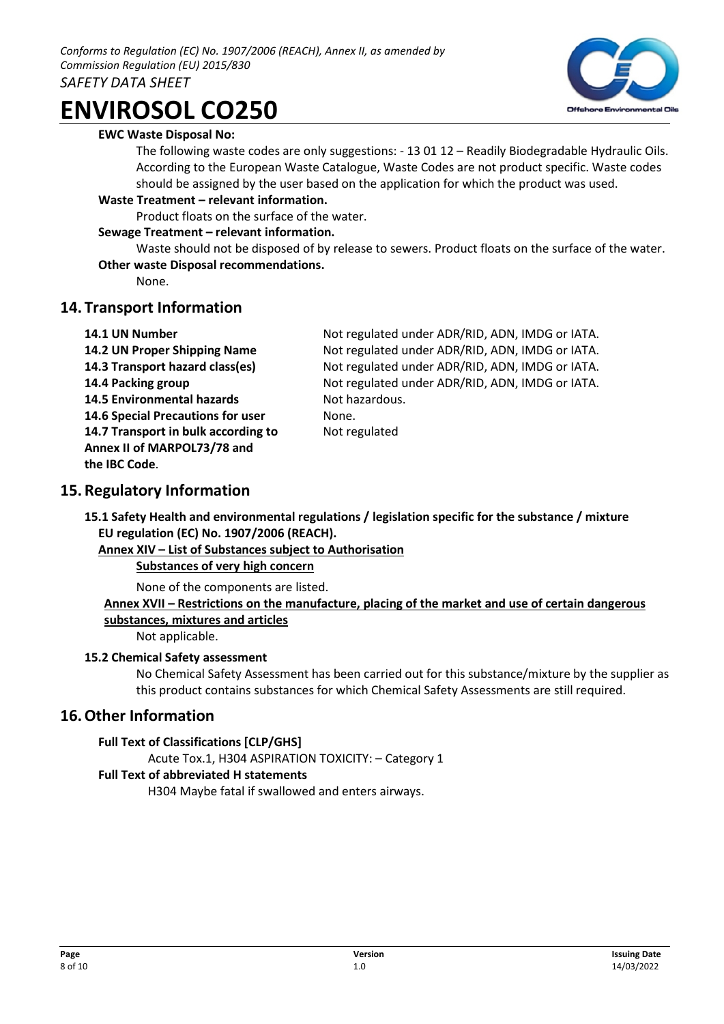### **EWC Waste Disposal No:**

The following waste codes are only suggestions: - 13 01 12 – Readily Biodegradable Hydraulic Oils. According to the European Waste Catalogue, Waste Codes are not product specific. Waste codes should be assigned by the user based on the application for which the product was used.

### **Waste Treatment – relevant information.**

Product floats on the surface of the water.

### **Sewage Treatment – relevant information.**

Waste should not be disposed of by release to sewers. Product floats on the surface of the water. **Other waste Disposal recommendations.** 

None.

# **14. Transport Information**

- 
- 14.5 Environmental hazards **Not hazardous. 14.6 Special Precautions for user Mone. 14.7 Transport in bulk according to** Not regulated **Annex II of MARPOL73/78 and**

**14.1 UN Number** Not regulated under ADR/RID, ADN, IMDG or IATA. **14.2 UN Proper Shipping Name** Not regulated under ADR/RID, ADN, IMDG or IATA. **14.3 Transport hazard class(es)** Not regulated under ADR/RID, ADN, IMDG or IATA. **14.4 Packing group** Not regulated under ADR/RID, ADN, IMDG or IATA.

# **15.Regulatory Information**

**the IBC Code**.

**15.1 Safety Health and environmental regulations / legislation specific for the substance / mixture EU regulation (EC) No. 1907/2006 (REACH).** 

**Annex XIV – List of Substances subject to Authorisation Substances of very high concern** 

None of the components are listed.

**Annex XVII – Restrictions on the manufacture, placing of the market and use of certain dangerous substances, mixtures and articles** 

Not applicable.

### **15.2 Chemical Safety assessment**

No Chemical Safety Assessment has been carried out for this substance/mixture by the supplier as this product contains substances for which Chemical Safety Assessments are still required.

# **16.Other Information**

### **Full Text of Classifications [CLP/GHS]**

Acute Tox.1, H304 ASPIRATION TOXICITY: – Category 1

### **Full Text of abbreviated H statements**

H304 Maybe fatal if swallowed and enters airways.

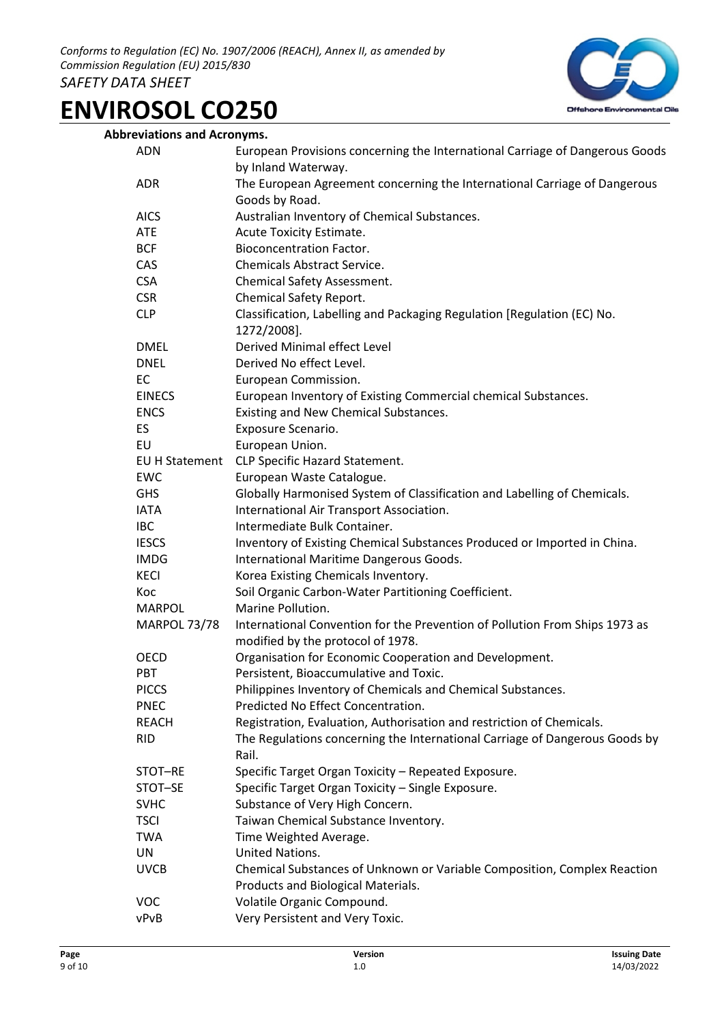

| European Provisions concerning the International Carriage of Dangerous Goods<br><b>ADN</b><br>by Inland Waterway.<br>The European Agreement concerning the International Carriage of Dangerous<br><b>ADR</b><br>Goods by Road.<br>Australian Inventory of Chemical Substances.<br><b>AICS</b><br><b>ATE</b><br>Acute Toxicity Estimate.<br><b>BCF</b><br><b>Bioconcentration Factor.</b><br>CAS<br><b>Chemicals Abstract Service.</b><br><b>CSA</b><br>Chemical Safety Assessment.<br><b>CSR</b><br>Chemical Safety Report.<br><b>CLP</b><br>Classification, Labelling and Packaging Regulation [Regulation (EC) No.<br>1272/2008].<br>Derived Minimal effect Level<br><b>DMEL</b><br><b>DNEL</b><br>Derived No effect Level.<br>EC<br>European Commission.<br>European Inventory of Existing Commercial chemical Substances.<br><b>EINECS</b><br>Existing and New Chemical Substances.<br><b>ENCS</b><br>ES<br>Exposure Scenario.<br>EU<br>European Union.<br>CLP Specific Hazard Statement.<br><b>EU H Statement</b><br>European Waste Catalogue.<br><b>EWC</b><br>Globally Harmonised System of Classification and Labelling of Chemicals.<br><b>GHS</b><br>International Air Transport Association.<br><b>IATA</b><br>Intermediate Bulk Container.<br><b>IBC</b><br><b>IESCS</b><br>Inventory of Existing Chemical Substances Produced or Imported in China.<br><b>IMDG</b><br>International Maritime Dangerous Goods.<br>Korea Existing Chemicals Inventory.<br><b>KECI</b><br>Soil Organic Carbon-Water Partitioning Coefficient.<br>Koc<br><b>MARPOL</b><br>Marine Pollution.<br><b>MARPOL 73/78</b><br>International Convention for the Prevention of Pollution From Ships 1973 as<br>modified by the protocol of 1978.<br><b>OECD</b><br>Organisation for Economic Cooperation and Development.<br>Persistent, Bioaccumulative and Toxic.<br><b>PBT</b><br><b>PICCS</b><br>Philippines Inventory of Chemicals and Chemical Substances.<br>Predicted No Effect Concentration.<br><b>PNEC</b><br><b>REACH</b><br>Registration, Evaluation, Authorisation and restriction of Chemicals.<br>The Regulations concerning the International Carriage of Dangerous Goods by<br><b>RID</b><br>Rail.<br>STOT-RE<br>Specific Target Organ Toxicity - Repeated Exposure.<br>Specific Target Organ Toxicity - Single Exposure.<br>STOT-SE<br><b>SVHC</b><br>Substance of Very High Concern.<br>Taiwan Chemical Substance Inventory.<br><b>TSCI</b><br><b>TWA</b><br>Time Weighted Average.<br>United Nations.<br>UN<br><b>UVCB</b><br>Chemical Substances of Unknown or Variable Composition, Complex Reaction<br>Products and Biological Materials.<br>Volatile Organic Compound.<br><b>VOC</b><br>Very Persistent and Very Toxic.<br>vPvB | <b>Abbreviations and Acronyms.</b> |  |
|-----------------------------------------------------------------------------------------------------------------------------------------------------------------------------------------------------------------------------------------------------------------------------------------------------------------------------------------------------------------------------------------------------------------------------------------------------------------------------------------------------------------------------------------------------------------------------------------------------------------------------------------------------------------------------------------------------------------------------------------------------------------------------------------------------------------------------------------------------------------------------------------------------------------------------------------------------------------------------------------------------------------------------------------------------------------------------------------------------------------------------------------------------------------------------------------------------------------------------------------------------------------------------------------------------------------------------------------------------------------------------------------------------------------------------------------------------------------------------------------------------------------------------------------------------------------------------------------------------------------------------------------------------------------------------------------------------------------------------------------------------------------------------------------------------------------------------------------------------------------------------------------------------------------------------------------------------------------------------------------------------------------------------------------------------------------------------------------------------------------------------------------------------------------------------------------------------------------------------------------------------------------------------------------------------------------------------------------------------------------------------------------------------------------------------------------------------------------------------------------------------------------------------------------------------------------------------------------------------------------------------------------------------------------------------------------------------------------------------------------|------------------------------------|--|
|                                                                                                                                                                                                                                                                                                                                                                                                                                                                                                                                                                                                                                                                                                                                                                                                                                                                                                                                                                                                                                                                                                                                                                                                                                                                                                                                                                                                                                                                                                                                                                                                                                                                                                                                                                                                                                                                                                                                                                                                                                                                                                                                                                                                                                                                                                                                                                                                                                                                                                                                                                                                                                                                                                                                         |                                    |  |
|                                                                                                                                                                                                                                                                                                                                                                                                                                                                                                                                                                                                                                                                                                                                                                                                                                                                                                                                                                                                                                                                                                                                                                                                                                                                                                                                                                                                                                                                                                                                                                                                                                                                                                                                                                                                                                                                                                                                                                                                                                                                                                                                                                                                                                                                                                                                                                                                                                                                                                                                                                                                                                                                                                                                         |                                    |  |
|                                                                                                                                                                                                                                                                                                                                                                                                                                                                                                                                                                                                                                                                                                                                                                                                                                                                                                                                                                                                                                                                                                                                                                                                                                                                                                                                                                                                                                                                                                                                                                                                                                                                                                                                                                                                                                                                                                                                                                                                                                                                                                                                                                                                                                                                                                                                                                                                                                                                                                                                                                                                                                                                                                                                         |                                    |  |
|                                                                                                                                                                                                                                                                                                                                                                                                                                                                                                                                                                                                                                                                                                                                                                                                                                                                                                                                                                                                                                                                                                                                                                                                                                                                                                                                                                                                                                                                                                                                                                                                                                                                                                                                                                                                                                                                                                                                                                                                                                                                                                                                                                                                                                                                                                                                                                                                                                                                                                                                                                                                                                                                                                                                         |                                    |  |
|                                                                                                                                                                                                                                                                                                                                                                                                                                                                                                                                                                                                                                                                                                                                                                                                                                                                                                                                                                                                                                                                                                                                                                                                                                                                                                                                                                                                                                                                                                                                                                                                                                                                                                                                                                                                                                                                                                                                                                                                                                                                                                                                                                                                                                                                                                                                                                                                                                                                                                                                                                                                                                                                                                                                         |                                    |  |
|                                                                                                                                                                                                                                                                                                                                                                                                                                                                                                                                                                                                                                                                                                                                                                                                                                                                                                                                                                                                                                                                                                                                                                                                                                                                                                                                                                                                                                                                                                                                                                                                                                                                                                                                                                                                                                                                                                                                                                                                                                                                                                                                                                                                                                                                                                                                                                                                                                                                                                                                                                                                                                                                                                                                         |                                    |  |
|                                                                                                                                                                                                                                                                                                                                                                                                                                                                                                                                                                                                                                                                                                                                                                                                                                                                                                                                                                                                                                                                                                                                                                                                                                                                                                                                                                                                                                                                                                                                                                                                                                                                                                                                                                                                                                                                                                                                                                                                                                                                                                                                                                                                                                                                                                                                                                                                                                                                                                                                                                                                                                                                                                                                         |                                    |  |
|                                                                                                                                                                                                                                                                                                                                                                                                                                                                                                                                                                                                                                                                                                                                                                                                                                                                                                                                                                                                                                                                                                                                                                                                                                                                                                                                                                                                                                                                                                                                                                                                                                                                                                                                                                                                                                                                                                                                                                                                                                                                                                                                                                                                                                                                                                                                                                                                                                                                                                                                                                                                                                                                                                                                         |                                    |  |
|                                                                                                                                                                                                                                                                                                                                                                                                                                                                                                                                                                                                                                                                                                                                                                                                                                                                                                                                                                                                                                                                                                                                                                                                                                                                                                                                                                                                                                                                                                                                                                                                                                                                                                                                                                                                                                                                                                                                                                                                                                                                                                                                                                                                                                                                                                                                                                                                                                                                                                                                                                                                                                                                                                                                         |                                    |  |
|                                                                                                                                                                                                                                                                                                                                                                                                                                                                                                                                                                                                                                                                                                                                                                                                                                                                                                                                                                                                                                                                                                                                                                                                                                                                                                                                                                                                                                                                                                                                                                                                                                                                                                                                                                                                                                                                                                                                                                                                                                                                                                                                                                                                                                                                                                                                                                                                                                                                                                                                                                                                                                                                                                                                         |                                    |  |
|                                                                                                                                                                                                                                                                                                                                                                                                                                                                                                                                                                                                                                                                                                                                                                                                                                                                                                                                                                                                                                                                                                                                                                                                                                                                                                                                                                                                                                                                                                                                                                                                                                                                                                                                                                                                                                                                                                                                                                                                                                                                                                                                                                                                                                                                                                                                                                                                                                                                                                                                                                                                                                                                                                                                         |                                    |  |
|                                                                                                                                                                                                                                                                                                                                                                                                                                                                                                                                                                                                                                                                                                                                                                                                                                                                                                                                                                                                                                                                                                                                                                                                                                                                                                                                                                                                                                                                                                                                                                                                                                                                                                                                                                                                                                                                                                                                                                                                                                                                                                                                                                                                                                                                                                                                                                                                                                                                                                                                                                                                                                                                                                                                         |                                    |  |
|                                                                                                                                                                                                                                                                                                                                                                                                                                                                                                                                                                                                                                                                                                                                                                                                                                                                                                                                                                                                                                                                                                                                                                                                                                                                                                                                                                                                                                                                                                                                                                                                                                                                                                                                                                                                                                                                                                                                                                                                                                                                                                                                                                                                                                                                                                                                                                                                                                                                                                                                                                                                                                                                                                                                         |                                    |  |
|                                                                                                                                                                                                                                                                                                                                                                                                                                                                                                                                                                                                                                                                                                                                                                                                                                                                                                                                                                                                                                                                                                                                                                                                                                                                                                                                                                                                                                                                                                                                                                                                                                                                                                                                                                                                                                                                                                                                                                                                                                                                                                                                                                                                                                                                                                                                                                                                                                                                                                                                                                                                                                                                                                                                         |                                    |  |
|                                                                                                                                                                                                                                                                                                                                                                                                                                                                                                                                                                                                                                                                                                                                                                                                                                                                                                                                                                                                                                                                                                                                                                                                                                                                                                                                                                                                                                                                                                                                                                                                                                                                                                                                                                                                                                                                                                                                                                                                                                                                                                                                                                                                                                                                                                                                                                                                                                                                                                                                                                                                                                                                                                                                         |                                    |  |
|                                                                                                                                                                                                                                                                                                                                                                                                                                                                                                                                                                                                                                                                                                                                                                                                                                                                                                                                                                                                                                                                                                                                                                                                                                                                                                                                                                                                                                                                                                                                                                                                                                                                                                                                                                                                                                                                                                                                                                                                                                                                                                                                                                                                                                                                                                                                                                                                                                                                                                                                                                                                                                                                                                                                         |                                    |  |
|                                                                                                                                                                                                                                                                                                                                                                                                                                                                                                                                                                                                                                                                                                                                                                                                                                                                                                                                                                                                                                                                                                                                                                                                                                                                                                                                                                                                                                                                                                                                                                                                                                                                                                                                                                                                                                                                                                                                                                                                                                                                                                                                                                                                                                                                                                                                                                                                                                                                                                                                                                                                                                                                                                                                         |                                    |  |
|                                                                                                                                                                                                                                                                                                                                                                                                                                                                                                                                                                                                                                                                                                                                                                                                                                                                                                                                                                                                                                                                                                                                                                                                                                                                                                                                                                                                                                                                                                                                                                                                                                                                                                                                                                                                                                                                                                                                                                                                                                                                                                                                                                                                                                                                                                                                                                                                                                                                                                                                                                                                                                                                                                                                         |                                    |  |
|                                                                                                                                                                                                                                                                                                                                                                                                                                                                                                                                                                                                                                                                                                                                                                                                                                                                                                                                                                                                                                                                                                                                                                                                                                                                                                                                                                                                                                                                                                                                                                                                                                                                                                                                                                                                                                                                                                                                                                                                                                                                                                                                                                                                                                                                                                                                                                                                                                                                                                                                                                                                                                                                                                                                         |                                    |  |
|                                                                                                                                                                                                                                                                                                                                                                                                                                                                                                                                                                                                                                                                                                                                                                                                                                                                                                                                                                                                                                                                                                                                                                                                                                                                                                                                                                                                                                                                                                                                                                                                                                                                                                                                                                                                                                                                                                                                                                                                                                                                                                                                                                                                                                                                                                                                                                                                                                                                                                                                                                                                                                                                                                                                         |                                    |  |
|                                                                                                                                                                                                                                                                                                                                                                                                                                                                                                                                                                                                                                                                                                                                                                                                                                                                                                                                                                                                                                                                                                                                                                                                                                                                                                                                                                                                                                                                                                                                                                                                                                                                                                                                                                                                                                                                                                                                                                                                                                                                                                                                                                                                                                                                                                                                                                                                                                                                                                                                                                                                                                                                                                                                         |                                    |  |
|                                                                                                                                                                                                                                                                                                                                                                                                                                                                                                                                                                                                                                                                                                                                                                                                                                                                                                                                                                                                                                                                                                                                                                                                                                                                                                                                                                                                                                                                                                                                                                                                                                                                                                                                                                                                                                                                                                                                                                                                                                                                                                                                                                                                                                                                                                                                                                                                                                                                                                                                                                                                                                                                                                                                         |                                    |  |
|                                                                                                                                                                                                                                                                                                                                                                                                                                                                                                                                                                                                                                                                                                                                                                                                                                                                                                                                                                                                                                                                                                                                                                                                                                                                                                                                                                                                                                                                                                                                                                                                                                                                                                                                                                                                                                                                                                                                                                                                                                                                                                                                                                                                                                                                                                                                                                                                                                                                                                                                                                                                                                                                                                                                         |                                    |  |
|                                                                                                                                                                                                                                                                                                                                                                                                                                                                                                                                                                                                                                                                                                                                                                                                                                                                                                                                                                                                                                                                                                                                                                                                                                                                                                                                                                                                                                                                                                                                                                                                                                                                                                                                                                                                                                                                                                                                                                                                                                                                                                                                                                                                                                                                                                                                                                                                                                                                                                                                                                                                                                                                                                                                         |                                    |  |
|                                                                                                                                                                                                                                                                                                                                                                                                                                                                                                                                                                                                                                                                                                                                                                                                                                                                                                                                                                                                                                                                                                                                                                                                                                                                                                                                                                                                                                                                                                                                                                                                                                                                                                                                                                                                                                                                                                                                                                                                                                                                                                                                                                                                                                                                                                                                                                                                                                                                                                                                                                                                                                                                                                                                         |                                    |  |
|                                                                                                                                                                                                                                                                                                                                                                                                                                                                                                                                                                                                                                                                                                                                                                                                                                                                                                                                                                                                                                                                                                                                                                                                                                                                                                                                                                                                                                                                                                                                                                                                                                                                                                                                                                                                                                                                                                                                                                                                                                                                                                                                                                                                                                                                                                                                                                                                                                                                                                                                                                                                                                                                                                                                         |                                    |  |
|                                                                                                                                                                                                                                                                                                                                                                                                                                                                                                                                                                                                                                                                                                                                                                                                                                                                                                                                                                                                                                                                                                                                                                                                                                                                                                                                                                                                                                                                                                                                                                                                                                                                                                                                                                                                                                                                                                                                                                                                                                                                                                                                                                                                                                                                                                                                                                                                                                                                                                                                                                                                                                                                                                                                         |                                    |  |
|                                                                                                                                                                                                                                                                                                                                                                                                                                                                                                                                                                                                                                                                                                                                                                                                                                                                                                                                                                                                                                                                                                                                                                                                                                                                                                                                                                                                                                                                                                                                                                                                                                                                                                                                                                                                                                                                                                                                                                                                                                                                                                                                                                                                                                                                                                                                                                                                                                                                                                                                                                                                                                                                                                                                         |                                    |  |
|                                                                                                                                                                                                                                                                                                                                                                                                                                                                                                                                                                                                                                                                                                                                                                                                                                                                                                                                                                                                                                                                                                                                                                                                                                                                                                                                                                                                                                                                                                                                                                                                                                                                                                                                                                                                                                                                                                                                                                                                                                                                                                                                                                                                                                                                                                                                                                                                                                                                                                                                                                                                                                                                                                                                         |                                    |  |
|                                                                                                                                                                                                                                                                                                                                                                                                                                                                                                                                                                                                                                                                                                                                                                                                                                                                                                                                                                                                                                                                                                                                                                                                                                                                                                                                                                                                                                                                                                                                                                                                                                                                                                                                                                                                                                                                                                                                                                                                                                                                                                                                                                                                                                                                                                                                                                                                                                                                                                                                                                                                                                                                                                                                         |                                    |  |
|                                                                                                                                                                                                                                                                                                                                                                                                                                                                                                                                                                                                                                                                                                                                                                                                                                                                                                                                                                                                                                                                                                                                                                                                                                                                                                                                                                                                                                                                                                                                                                                                                                                                                                                                                                                                                                                                                                                                                                                                                                                                                                                                                                                                                                                                                                                                                                                                                                                                                                                                                                                                                                                                                                                                         |                                    |  |
|                                                                                                                                                                                                                                                                                                                                                                                                                                                                                                                                                                                                                                                                                                                                                                                                                                                                                                                                                                                                                                                                                                                                                                                                                                                                                                                                                                                                                                                                                                                                                                                                                                                                                                                                                                                                                                                                                                                                                                                                                                                                                                                                                                                                                                                                                                                                                                                                                                                                                                                                                                                                                                                                                                                                         |                                    |  |
|                                                                                                                                                                                                                                                                                                                                                                                                                                                                                                                                                                                                                                                                                                                                                                                                                                                                                                                                                                                                                                                                                                                                                                                                                                                                                                                                                                                                                                                                                                                                                                                                                                                                                                                                                                                                                                                                                                                                                                                                                                                                                                                                                                                                                                                                                                                                                                                                                                                                                                                                                                                                                                                                                                                                         |                                    |  |
|                                                                                                                                                                                                                                                                                                                                                                                                                                                                                                                                                                                                                                                                                                                                                                                                                                                                                                                                                                                                                                                                                                                                                                                                                                                                                                                                                                                                                                                                                                                                                                                                                                                                                                                                                                                                                                                                                                                                                                                                                                                                                                                                                                                                                                                                                                                                                                                                                                                                                                                                                                                                                                                                                                                                         |                                    |  |
|                                                                                                                                                                                                                                                                                                                                                                                                                                                                                                                                                                                                                                                                                                                                                                                                                                                                                                                                                                                                                                                                                                                                                                                                                                                                                                                                                                                                                                                                                                                                                                                                                                                                                                                                                                                                                                                                                                                                                                                                                                                                                                                                                                                                                                                                                                                                                                                                                                                                                                                                                                                                                                                                                                                                         |                                    |  |
|                                                                                                                                                                                                                                                                                                                                                                                                                                                                                                                                                                                                                                                                                                                                                                                                                                                                                                                                                                                                                                                                                                                                                                                                                                                                                                                                                                                                                                                                                                                                                                                                                                                                                                                                                                                                                                                                                                                                                                                                                                                                                                                                                                                                                                                                                                                                                                                                                                                                                                                                                                                                                                                                                                                                         |                                    |  |
|                                                                                                                                                                                                                                                                                                                                                                                                                                                                                                                                                                                                                                                                                                                                                                                                                                                                                                                                                                                                                                                                                                                                                                                                                                                                                                                                                                                                                                                                                                                                                                                                                                                                                                                                                                                                                                                                                                                                                                                                                                                                                                                                                                                                                                                                                                                                                                                                                                                                                                                                                                                                                                                                                                                                         |                                    |  |
|                                                                                                                                                                                                                                                                                                                                                                                                                                                                                                                                                                                                                                                                                                                                                                                                                                                                                                                                                                                                                                                                                                                                                                                                                                                                                                                                                                                                                                                                                                                                                                                                                                                                                                                                                                                                                                                                                                                                                                                                                                                                                                                                                                                                                                                                                                                                                                                                                                                                                                                                                                                                                                                                                                                                         |                                    |  |
|                                                                                                                                                                                                                                                                                                                                                                                                                                                                                                                                                                                                                                                                                                                                                                                                                                                                                                                                                                                                                                                                                                                                                                                                                                                                                                                                                                                                                                                                                                                                                                                                                                                                                                                                                                                                                                                                                                                                                                                                                                                                                                                                                                                                                                                                                                                                                                                                                                                                                                                                                                                                                                                                                                                                         |                                    |  |
|                                                                                                                                                                                                                                                                                                                                                                                                                                                                                                                                                                                                                                                                                                                                                                                                                                                                                                                                                                                                                                                                                                                                                                                                                                                                                                                                                                                                                                                                                                                                                                                                                                                                                                                                                                                                                                                                                                                                                                                                                                                                                                                                                                                                                                                                                                                                                                                                                                                                                                                                                                                                                                                                                                                                         |                                    |  |
|                                                                                                                                                                                                                                                                                                                                                                                                                                                                                                                                                                                                                                                                                                                                                                                                                                                                                                                                                                                                                                                                                                                                                                                                                                                                                                                                                                                                                                                                                                                                                                                                                                                                                                                                                                                                                                                                                                                                                                                                                                                                                                                                                                                                                                                                                                                                                                                                                                                                                                                                                                                                                                                                                                                                         |                                    |  |
|                                                                                                                                                                                                                                                                                                                                                                                                                                                                                                                                                                                                                                                                                                                                                                                                                                                                                                                                                                                                                                                                                                                                                                                                                                                                                                                                                                                                                                                                                                                                                                                                                                                                                                                                                                                                                                                                                                                                                                                                                                                                                                                                                                                                                                                                                                                                                                                                                                                                                                                                                                                                                                                                                                                                         |                                    |  |
|                                                                                                                                                                                                                                                                                                                                                                                                                                                                                                                                                                                                                                                                                                                                                                                                                                                                                                                                                                                                                                                                                                                                                                                                                                                                                                                                                                                                                                                                                                                                                                                                                                                                                                                                                                                                                                                                                                                                                                                                                                                                                                                                                                                                                                                                                                                                                                                                                                                                                                                                                                                                                                                                                                                                         |                                    |  |
|                                                                                                                                                                                                                                                                                                                                                                                                                                                                                                                                                                                                                                                                                                                                                                                                                                                                                                                                                                                                                                                                                                                                                                                                                                                                                                                                                                                                                                                                                                                                                                                                                                                                                                                                                                                                                                                                                                                                                                                                                                                                                                                                                                                                                                                                                                                                                                                                                                                                                                                                                                                                                                                                                                                                         |                                    |  |
|                                                                                                                                                                                                                                                                                                                                                                                                                                                                                                                                                                                                                                                                                                                                                                                                                                                                                                                                                                                                                                                                                                                                                                                                                                                                                                                                                                                                                                                                                                                                                                                                                                                                                                                                                                                                                                                                                                                                                                                                                                                                                                                                                                                                                                                                                                                                                                                                                                                                                                                                                                                                                                                                                                                                         |                                    |  |
|                                                                                                                                                                                                                                                                                                                                                                                                                                                                                                                                                                                                                                                                                                                                                                                                                                                                                                                                                                                                                                                                                                                                                                                                                                                                                                                                                                                                                                                                                                                                                                                                                                                                                                                                                                                                                                                                                                                                                                                                                                                                                                                                                                                                                                                                                                                                                                                                                                                                                                                                                                                                                                                                                                                                         |                                    |  |
|                                                                                                                                                                                                                                                                                                                                                                                                                                                                                                                                                                                                                                                                                                                                                                                                                                                                                                                                                                                                                                                                                                                                                                                                                                                                                                                                                                                                                                                                                                                                                                                                                                                                                                                                                                                                                                                                                                                                                                                                                                                                                                                                                                                                                                                                                                                                                                                                                                                                                                                                                                                                                                                                                                                                         |                                    |  |